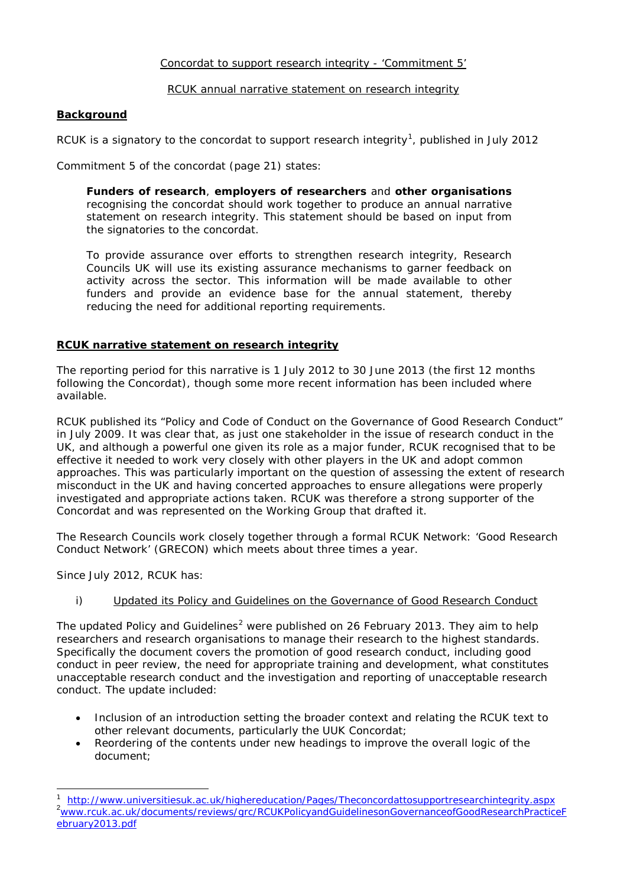# Concordat to support research integrity - 'Commitment 5'

# RCUK annual narrative statement on research integrity

# **Background**

RCUK is a signatory to the concordat to support research integrity<sup>[1](#page-0-0)</sup>, published in July 2012

Commitment 5 of the concordat (page 21) states:

*Funders of research, employers of researchers and other organisations recognising the concordat should work together to produce an annual narrative statement on research integrity. This statement should be based on input from the signatories to the concordat.*

*To provide assurance over efforts to strengthen research integrity, Research Councils UK will use its existing assurance mechanisms to garner feedback on activity across the sector. This information will be made available to other funders and provide an evidence base for the annual statement, thereby reducing the need for additional reporting requirements.*

# **RCUK narrative statement on research integrity**

The reporting period for this narrative is 1 July 2012 to 30 June 2013 (the first 12 months following the Concordat), though some more recent information has been included where available.

RCUK published its *"*Policy and Code of Conduct on the Governance of Good Research Conduct" in July 2009. It was clear that, as just one stakeholder in the issue of research conduct in the UK, and although a powerful one given its role as a major funder, RCUK recognised that to be effective it needed to work very closely with other players in the UK and adopt common approaches. This was particularly important on the question of assessing the extent of research misconduct in the UK and having concerted approaches to ensure allegations were properly investigated and appropriate actions taken. RCUK was therefore a strong supporter of the Concordat and was represented on the Working Group that drafted it.

The Research Councils work closely together through a formal RCUK Network: 'Good Research Conduct Network' (GRECON) which meets about three times a year.

Since July 2012, RCUK has:

# i) Updated its [Policy and Guidelines on the Governance of Good Research Conduct](http://www.rcuk.ac.uk/Publications/researchers/Pages/grc.aspx)

The updated Policy and Guidelines<sup>[2](#page-0-1)</sup> were published on 26 February 2013. They aim to help researchers and research organisations to manage their research to the highest standards. Specifically the document covers the promotion of good research conduct, including good conduct in peer review, the need for appropriate training and development, what constitutes unacceptable research conduct and the investigation and reporting of unacceptable research conduct. The update included:

- Inclusion of an introduction setting the broader context and relating the RCUK text to other relevant documents, particularly the UUK Concordat;
- Reordering of the contents under new headings to improve the overall logic of the document;

<span id="page-0-2"></span><span id="page-0-1"></span><span id="page-0-0"></span> $\ddot{\phantom{a}}$ 1 <http://www.universitiesuk.ac.uk/highereducation/Pages/Theconcordattosupportresearchintegrity.aspx> <sup>2</sup> [www.rcuk.ac.uk/documents/reviews/grc/RCUKPolicyandGuidelinesonGovernanceofGoodResearchPracticeF](http://www.rcuk.ac.uk/documents/reviews/grc/RCUKPolicyandGuidelinesonGovernanceofGoodResearchPracticeFebruary2013.pdf) [ebruary2013.pdf](http://www.rcuk.ac.uk/documents/reviews/grc/RCUKPolicyandGuidelinesonGovernanceofGoodResearchPracticeFebruary2013.pdf)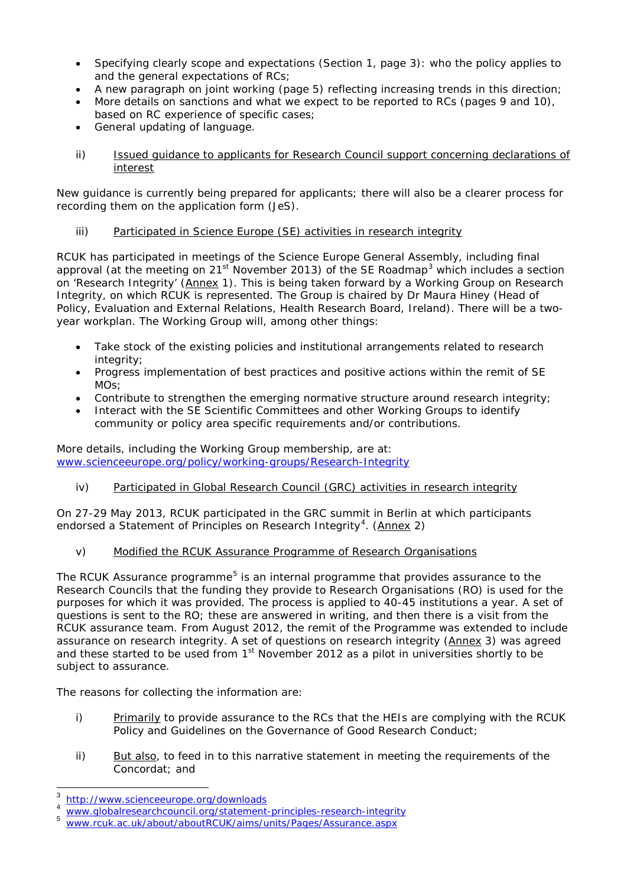- Specifying clearly scope and expectations (Section 1, page 3): who the policy applies to and the general expectations of RCs;
- A new paragraph on joint working (page 5) reflecting increasing trends in this direction;
- More details on sanctions and what we expect to be reported to RCs (pages 9 and 10), based on RC experience of specific cases;
- General updating of language.
- ii) Issued quidance to applicants for Research Council support concerning declarations of interest

New guidance is currently being prepared for applicants; there will also be a clearer process for recording them on the application form (JeS).

iii) Participated in Science Europe (SE) activities in research integrity

RCUK has participated in meetings of the Science Europe General Assembly, including final approval (at the meeting on  $21^{st}$  November 201[3](#page-0-2)) of the SE Roadmap<sup>3</sup> which includes a section on 'Research Integrity' (Annex 1). This is being taken forward by a Working Group on Research Integrity, on which RCUK is represented. The Group is chaired by Dr Maura Hiney (Head of Policy, Evaluation and External Relations, Health Research Board, Ireland). There will be a twoyear workplan. The Working Group will, among other things:

- Take stock of the existing policies and institutional arrangements related to research integrity;
- Progress implementation of best practices and positive actions within the remit of SE MOs;
- Contribute to strengthen the emerging normative structure around research integrity;
- Interact with the SE Scientific Committees and other Working Groups to identify community or policy area specific requirements and/or contributions.

More details, including the Working Group membership, are at: [www.scienceeurope.org/policy/working-groups/Research-Integrity](http://www.scienceeurope.org/policy/working-groups/Research-Integrity)

iv) Participated in Global Research Council (GRC) activities in research integrity

On 27-29 May 2013, RCUK participated in the GRC summit in Berlin at which participants endorsed a Statement of Principles on Research Integrity<sup>[4](#page-1-0)</sup>. (Annex 2)

v) Modified the RCUK Assurance Programme of Research Organisations

The RCUK Assurance programme<sup>[5](#page-1-1)</sup> is an internal programme that provides assurance to the Research Councils that the funding they provide to Research Organisations (RO) is used for the purposes for which it was provided. The process is applied to 40-45 institutions a year. A set of questions is sent to the RO; these are answered in writing, and then there is a visit from the RCUK assurance team. From August 2012, the remit of the Programme was extended to include assurance on research integrity. A set of questions on research integrity (Annex 3) was agreed and these started to be used from 1<sup>st</sup> November 2012 as a pilot in universities shortly to be subject to assurance.

The reasons for collecting the information are:

- i) Primarily to provide assurance to the RCs that the HEIs are complying with the RCUK Policy and Guidelines on the Governance of Good Research Conduct;
- ii) But also, to feed in to this narrative statement in meeting the requirements of the Concordat; and

 <sup>3</sup> <http://www.scienceeurope.org/downloads>

<span id="page-1-1"></span><span id="page-1-0"></span><sup>&</sup>lt;sup>4</sup> [www.globalresearchcouncil.org/statement-principles-research-integrity](http://www.globalresearchcouncil.org/statement-principles-research-integrity)

[www.rcuk.ac.uk/about/aboutRCUK/aims/units/Pages/Assurance.aspx](http://www.rcuk.ac.uk/about/aboutRCUK/aims/units/Pages/Assurance.aspx)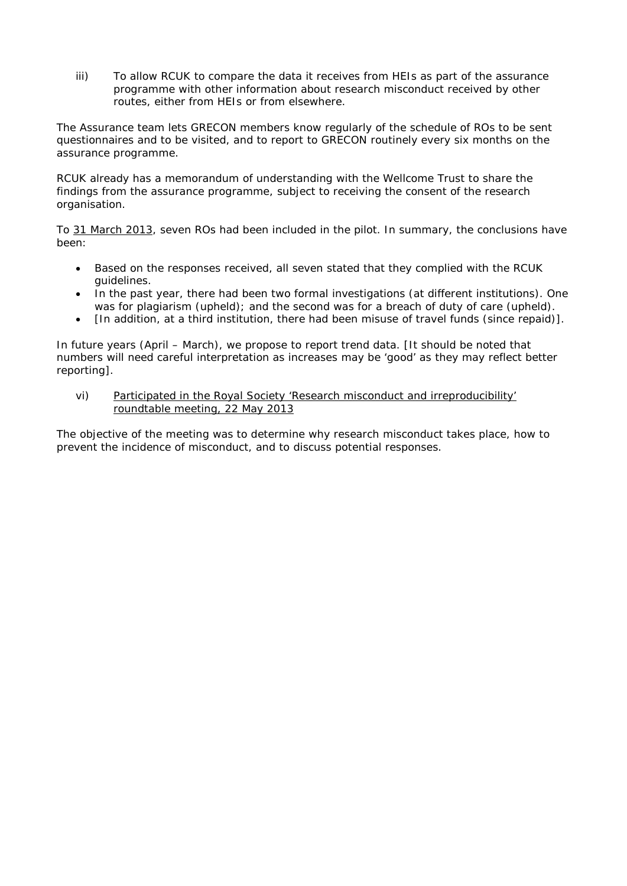iii) To allow RCUK to compare the data it receives from HEIs as part of the assurance programme with other information about research misconduct received by other routes, either from HEIs or from elsewhere.

The Assurance team lets GRECON members know regularly of the schedule of ROs to be sent questionnaires and to be visited, and to report to GRECON routinely every six months on the assurance programme.

RCUK already has a memorandum of understanding with the Wellcome Trust to share the findings from the assurance programme, subject to receiving the consent of the research organisation.

To 31 March 2013, seven ROs had been included in the pilot. In summary, the conclusions have been:

- Based on the responses received, all seven stated that they complied with the RCUK guidelines.
- In the past year, there had been two formal investigations (at different institutions). One was for plagiarism (upheld); and the second was for a breach of duty of care (upheld).
- [In addition, at a third institution, there had been misuse of travel funds (since repaid)].

In future years (April – March), we propose to report trend data. [It should be noted that numbers will need careful interpretation as increases may be 'good' as they may reflect better reporting].

vi) Participated in the Royal Society 'Research misconduct and irreproducibility' roundtable meeting, 22 May 2013

The objective of the meeting was to determine why research misconduct takes place, how to prevent the incidence of misconduct, and to discuss potential responses.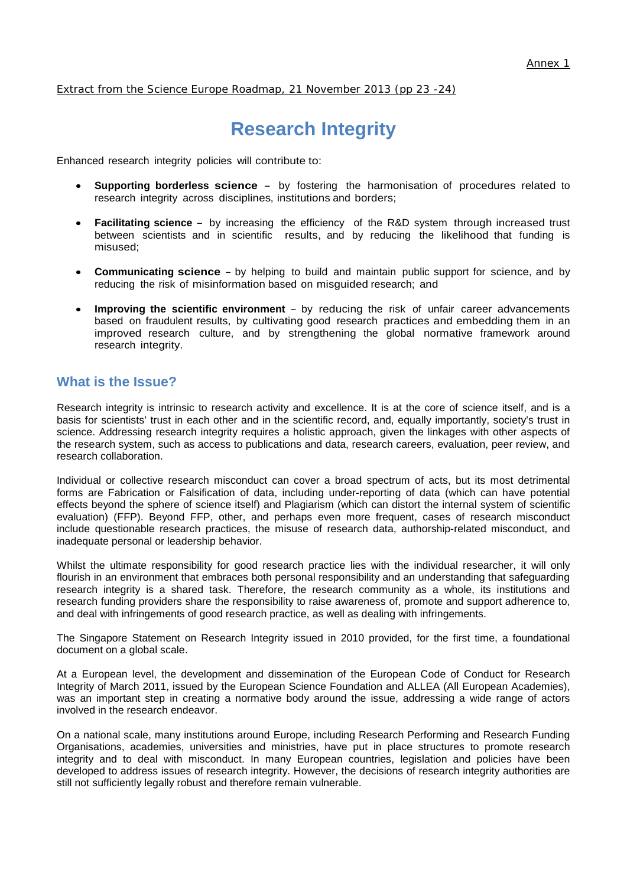Extract from the Science Europe Roadmap, 21 November 2013 (pp 23 -24)

# **Research Integrity**

Enhanced research integrity policies will contribute to:

- **Supporting borderless science** by fostering the harmonisation of procedures related to research integrity across disciplines, institutions and borders;
- **Facilitating science** by increasing the efficiency of the R&D system through increased trust between scientists and in scientific results, and by reducing the likelihood that funding is misused;
- **Communicating science** by helping to build and maintain public support for science, and by reducing the risk of misinformation based on misguided research; and
- **Improving the scientific environment** by reducing the risk of unfair career advancements based on fraudulent results, by cultivating good research practices and embedding them in an improved research culture, and by strengthening the global normative framework around research integrity.

# **What is the Issue?**

Research integrity is intrinsic to research activity and excellence. It is at the core of science itself, and is a basis for scientists' trust in each other and in the scientific record, and, equally importantly, society's trust in science. Addressing research integrity requires a holistic approach, given the linkages with other aspects of the research system, such as access to publications and data, research careers, evaluation, peer review, and research collaboration.

Individual or collective research misconduct can cover a broad spectrum of acts, but its most detrimental forms are Fabrication or Falsification of data, including under-reporting of data (which can have potential effects beyond the sphere of science itself) and Plagiarism (which can distort the internal system of scientific evaluation) (FFP). Beyond FFP, other, and perhaps even more frequent, cases of research misconduct include questionable research practices, the misuse of research data, authorship-related misconduct, and inadequate personal or leadership behavior.

Whilst the ultimate responsibility for good research practice lies with the individual researcher, it will only flourish in an environment that embraces both personal responsibility and an understanding that safeguarding research integrity is a shared task. Therefore, the research community as a whole, its institutions and research funding providers share the responsibility to raise awareness of, promote and support adherence to, and deal with infringements of good research practice, as well as dealing with infringements.

The Singapore Statement on Research Integrity issued in 2010 provided, for the first time, a foundational document on a global scale.

At a European level, the development and dissemination of the European Code of Conduct for Research Integrity of March 2011, issued by the European Science Foundation and ALLEA (All European Academies), was an important step in creating a normative body around the issue, addressing a wide range of actors involved in the research endeavor.

On a national scale, many institutions around Europe, including Research Performing and Research Funding Organisations, academies, universities and ministries, have put in place structures to promote research integrity and to deal with misconduct. In many European countries, legislation and policies have been developed to address issues of research integrity. However, the decisions of research integrity authorities are still not sufficiently legally robust and therefore remain vulnerable.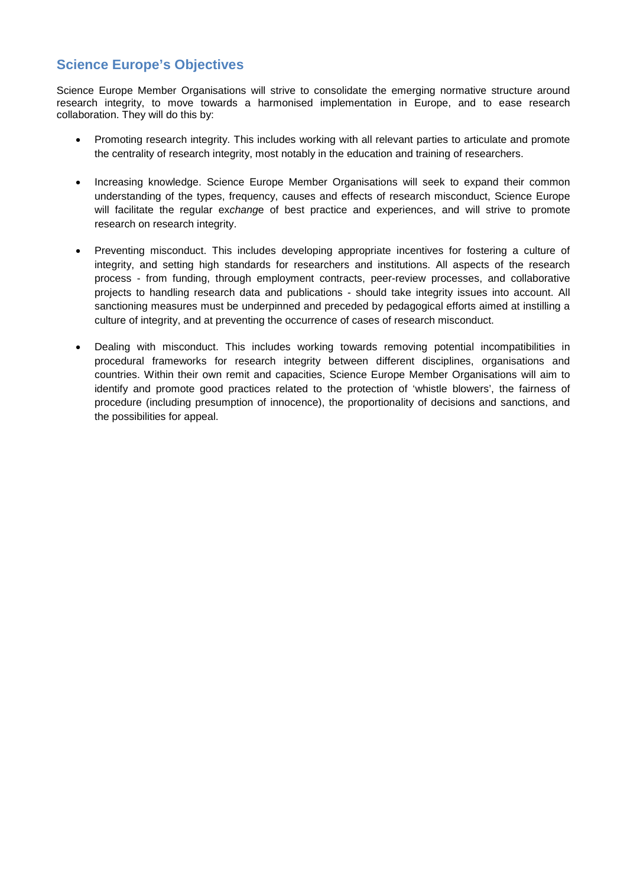# **Science Europe's Objectives**

Science Europe Member Organisations will strive to consolidate the emerging normative structure around research integrity, to move towards a harmonised implementation in Europe, and to ease research collaboration. They will do this by:

- Promoting research integrity. This includes working with all relevant parties to articulate and promote the centrality of research integrity, most notably in the education and training of researchers.
- Increasing knowledge. Science Europe Member Organisations will seek to expand their common understanding of the types, frequency, causes and effects of research misconduct, Science Europe will facilitate the regular ex*chang*e of best practice and experiences, and will strive to promote research on research integrity.
- Preventing misconduct. This includes developing appropriate incentives for fostering a culture of integrity, and setting high standards for researchers and institutions. All aspects of the research process - from funding, through employment contracts, peer-review processes, and collaborative projects to handling research data and publications - should take integrity issues into account. All sanctioning measures must be underpinned and preceded by pedagogical efforts aimed at instilling a culture of integrity, and at preventing the occurrence of cases of research misconduct.
- Dealing with misconduct. This includes working towards removing potential incompatibilities in procedural frameworks for research integrity between different disciplines, organisations and countries. Within their own remit and capacities, Science Europe Member Organisations will aim to identify and promote good practices related to the protection of 'whistle blowers', the fairness of procedure (including presumption of innocence), the proportionality of decisions and sanctions, and the possibilities for appeal.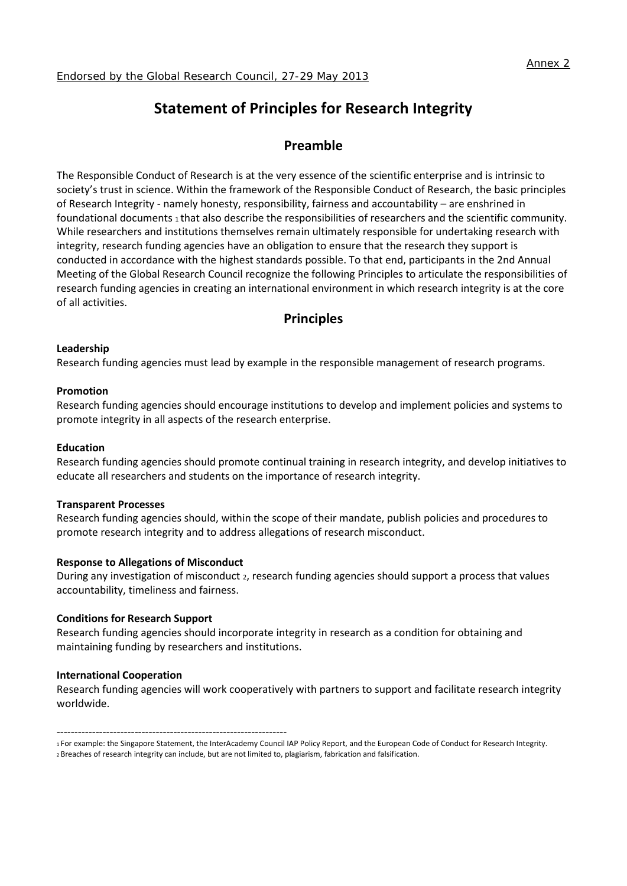# **Statement of Principles for Research Integrity**

# **Preamble**

The Responsible Conduct of Research is at the very essence of the scientific enterprise and is intrinsic to society's trust in science. Within the framework of the Responsible Conduct of Research, the basic principles of Research Integrity - namely honesty, responsibility, fairness and accountability – are enshrined in foundational documents 1 that also describe the responsibilities of researchers and the scientific community. While researchers and institutions themselves remain ultimately responsible for undertaking research with integrity, research funding agencies have an obligation to ensure that the research they support is conducted in accordance with the highest standards possible. To that end, participants in the 2nd Annual Meeting of the Global Research Council recognize the following Principles to articulate the responsibilities of research funding agencies in creating an international environment in which research integrity is at the core of all activities.

# **Principles**

#### **Leadership**

Research funding agencies must lead by example in the responsible management of research programs.

#### **Promotion**

Research funding agencies should encourage institutions to develop and implement policies and systems to promote integrity in all aspects of the research enterprise.

#### **Education**

Research funding agencies should promote continual training in research integrity, and develop initiatives to educate all researchers and students on the importance of research integrity.

#### **Transparent Processes**

Research funding agencies should, within the scope of their mandate, publish policies and procedures to promote research integrity and to address allegations of research misconduct.

#### **Response to Allegations of Misconduct**

During any investigation of misconduct 2, research funding agencies should support a process that values accountability, timeliness and fairness.

#### **Conditions for Research Support**

Research funding agencies should incorporate integrity in research as a condition for obtaining and maintaining funding by researchers and institutions.

#### **International Cooperation**

Research funding agencies will work cooperatively with partners to support and facilitate research integrity worldwide.

-----------------------------------------------------------------

<sup>1</sup> For example: the Singapore Statement, the InterAcademy Council IAP Policy Report, and the European Code of Conduct for Research Integrity. 2 Breaches of research integrity can include, but are not limited to, plagiarism, fabrication and falsification.